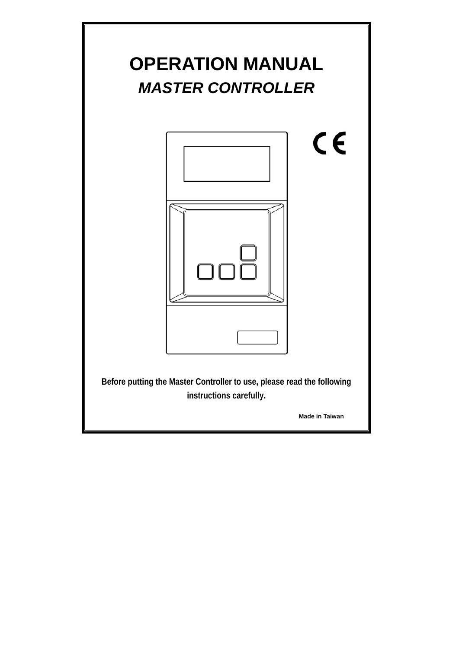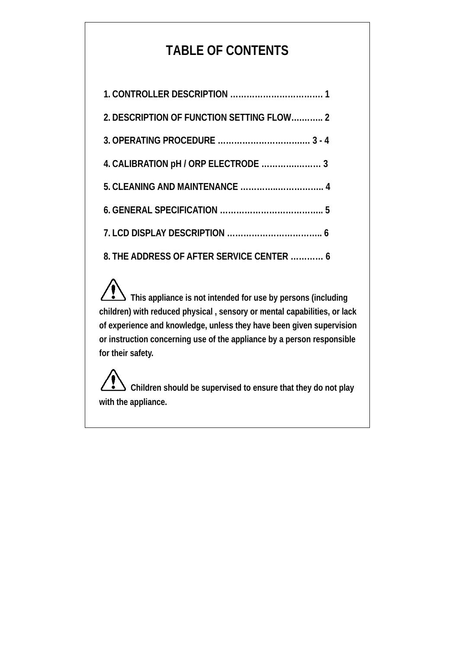# **TABLE OF CONTENTS**

| 2. DESCRIPTION OF FUNCTION SETTING FLOW 2 |
|-------------------------------------------|
|                                           |
| 4. CALIBRATION pH / ORP ELECTRODE  3      |
|                                           |
|                                           |
|                                           |
| 8. THE ADDRESS OF AFTER SERVICE CENTER  6 |

**This appliance is not intended for use by persons (including children) with reduced physical , sensory or mental capabilities, or lack of experience and knowledge, unless they have been given supervision or instruction concerning use of the appliance by a person responsible for their safety.**

**Children should be supervised to ensure that they do not play with the appliance.**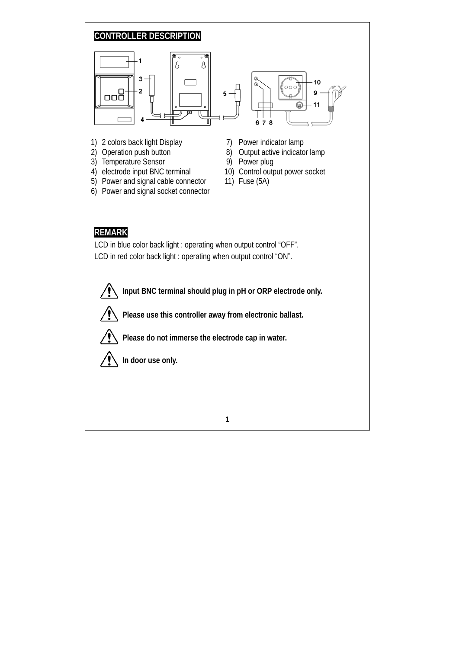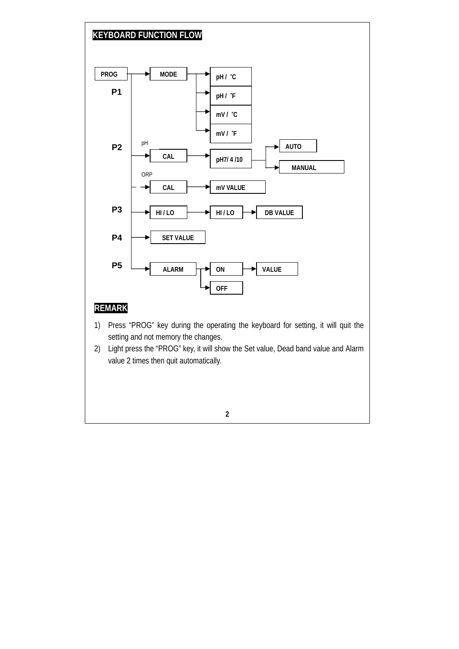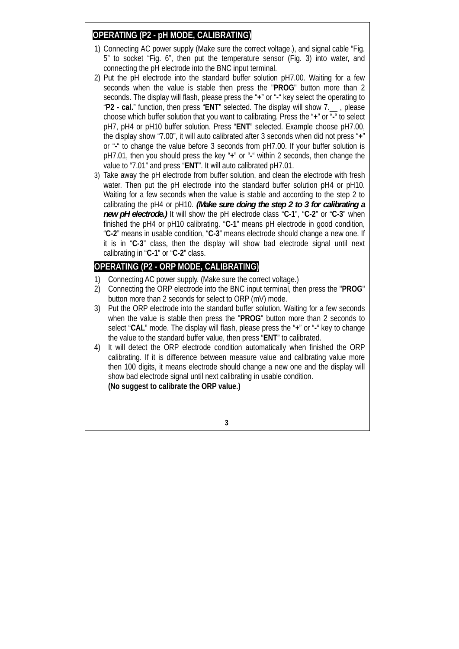#### **OPERATING (P2 - pH MODE, CALIBRATING)**

- 1) Connecting AC power supply (Make sure the correct voltage.), and signal cable "Fig. 5" to socket "Fig. 6", then put the temperature sensor (Fig. 3) into water, and connecting the pH electrode into the BNC input terminal.
- 2) Put the pH electrode into the standard buffer solution pH7.00. Waiting for a few seconds when the value is stable then press the "**PROG**" button more than 2 seconds. The display will flash, please press the "**+**" or "**-**" key select the operating to "**P2 - cal.**" function, then press "**ENT**" selected. The display will show 7.\_\_ , please choose which buffer solution that you want to calibrating. Press the "**+**" or "**-**" to select pH7, pH4 or pH10 buffer solution. Press "**ENT**" selected. Example choose pH7.00, the display show "7.00", it will auto calibrated after 3 seconds when did not press "**+**" or "**-**" to change the value before 3 seconds from pH7.00. If your buffer solution is pH7.01, then you should press the key "**+**" or "**-**" within 2 seconds, then change the value to "7.01" and press "**ENT**". It will auto calibrated pH7.01.
- 3) Take away the pH electrode from buffer solution, and clean the electrode with fresh water. Then put the pH electrode into the standard buffer solution pH4 or pH10. Waiting for a few seconds when the value is stable and according to the step 2 to calibrating the pH4 or pH10. *(Make sure doing the step 2 to 3 for calibrating a new pH electrode.)* It will show the pH electrode class "**C-1**", "**C-2**" or "**C-3**" when finished the pH4 or pH10 calibrating. "**C-1**" means pH electrode in good condition, "**C-2**" means in usable condition, "**C-3**" means electrode should change a new one. If it is in "**C-3**" class, then the display will show bad electrode signal until next calibrating in "**C-1**" or "**C-2**" class.

# **OPERATING (P2 - ORP MODE, CALIBRATING)**

- 1) Connecting AC power supply. (Make sure the correct voltage.)
- 2) Connecting the ORP electrode into the BNC input terminal, then press the "**PROG**" button more than 2 seconds for select to ORP (mV) mode.
- 3) Put the ORP electrode into the standard buffer solution. Waiting for a few seconds when the value is stable then press the "**PROG**" button more than 2 seconds to select "**CAL**" mode. The display will flash, please press the "**+**" or "**-**" key to change the value to the standard buffer value, then press "**ENT**" to calibrated.
- 4) It will detect the ORP electrode condition automatically when finished the ORP calibrating. If it is difference between measure value and calibrating value more then 100 digits, it means electrode should change a new one and the display will show bad electrode signal until next calibrating in usable condition. **(No suggest to calibrate the ORP value.)**

**3**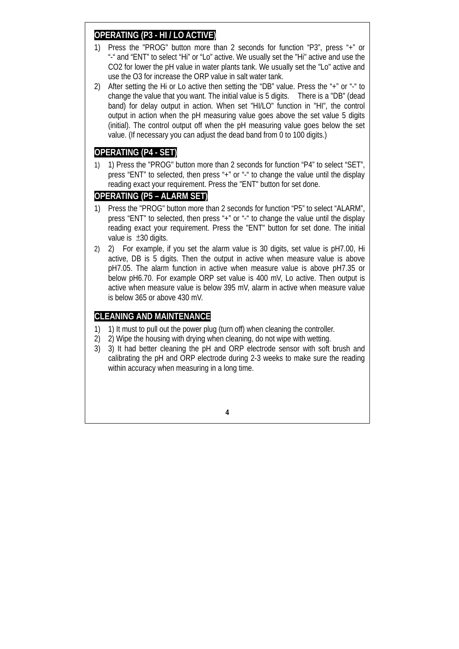### **OPERATING (P3 - HI / LO ACTIVE)**

- 1) Press the "PROG" button more than 2 seconds for function "P3", press "+" or "-" and "ENT" to select "Hi" or "Lo" active. We usually set the "Hi" active and use the CO2 for lower the pH value in water plants tank. We usually set the "Lo" active and use the O3 for increase the ORP value in salt water tank.
- 2) After setting the Hi or Lo active then setting the "DB" value. Press the " $+$ " or " $-$ " to change the value that you want. The initial value is 5 digits. There is a "DB" (dead band) for delay output in action. When set "HI/LO" function in "HI", the control output in action when the pH measuring value goes above the set value 5 digits (initial). The control output off when the pH measuring value goes below the set value. (If necessary you can adjust the dead band from 0 to 100 digits.)

## **OPERATING (P4 - SET)**

1) 1) Press the "PROG" button more than 2 seconds for function "P4" to select "SET", press "ENT" to selected, then press "+" or "-" to change the value until the display reading exact your requirement. Press the "ENT" button for set done.

#### **OPERATING (P5 – ALARM SET)**

- 1) Press the "PROG" button more than 2 seconds for function "P5" to select "ALARM", press "ENT" to selected, then press "+" or "-" to change the value until the display reading exact your requirement. Press the "ENT" button for set done. The initial value is  $\pm 30$  digits.
- 2) 2) For example, if you set the alarm value is 30 digits, set value is pH7.00, Hi active, DB is 5 digits. Then the output in active when measure value is above pH7.05. The alarm function in active when measure value is above pH7.35 or below pH6.70. For example ORP set value is 400 mV, Lo active. Then output is active when measure value is below 395 mV, alarm in active when measure value is below 365 or above 430 mV.

## **CLEANING AND MAINTENANCE**

- 1) 1) It must to pull out the power plug (turn off) when cleaning the controller.
- 2) 2) Wipe the housing with drying when cleaning, do not wipe with wetting.
- 3) 3) It had better cleaning the pH and ORP electrode sensor with soft brush and calibrating the pH and ORP electrode during 2-3 weeks to make sure the reading within accuracy when measuring in a long time.

**4**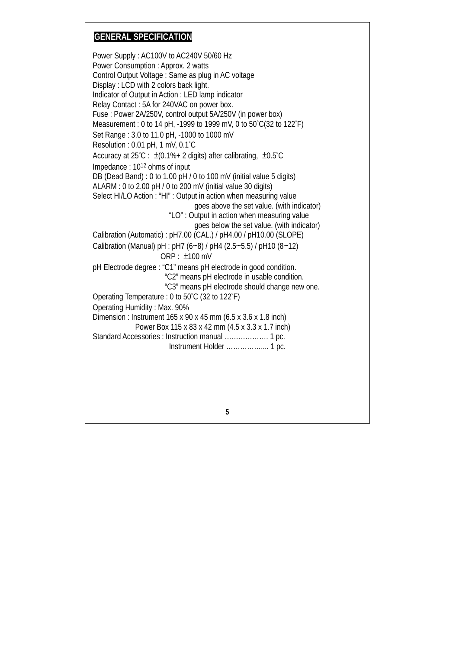# **GENERAL SPECIFICATION**

Power Supply : AC100V to AC240V 50/60 Hz Power Consumption : Approx. 2 watts Control Output Voltage : Same as plug in AC voltage Display : LCD with 2 colors back light. Indicator of Output in Action : LED lamp indicator Relay Contact : 5A for 240VAC on power box. Fuse : Power 2A/250V, control output 5A/250V (in power box) Measurement : 0 to 14 pH, -1999 to 1999 mV, 0 to 50°C(32 to 122°F) Set Range : 3.0 to 11.0 pH, -1000 to 1000 mV Resolution : 0.01 pH, 1 mV, 0.1°C Accuracy at  $25^{\circ}$ C :  $\pm$ (0.1%+ 2 digits) after calibrating,  $\pm$ 0.5 $^{\circ}$ C Impedance : 1012 ohms of input DB (Dead Band) : 0 to 1.00 pH / 0 to 100 mV (initial value 5 digits) ALARM : 0 to 2.00 pH / 0 to 200 mV (initial value 30 digits) Select HI/LO Action : "HI" : Output in action when measuring value goes above the set value. (with indicator) "LO" : Output in action when measuring value goes below the set value. (with indicator) Calibration (Automatic) : pH7.00 (CAL.) / pH4.00 / pH10.00 (SLOPE) Calibration (Manual) pH : pH7 (6~8) / pH4 (2.5~5.5) / pH10 (8~12) ORP : ±100 mV pH Electrode degree : "C1" means pH electrode in good condition. "C2" means pH electrode in usable condition. "C3" means pH electrode should change new one. Operating Temperature : 0 to 50°C (32 to 122°F) Operating Humidity : Max. 90% Dimension : Instrument 165 x 90 x 45 mm (6.5 x 3.6 x 1.8 inch) Power Box 115 x 83 x 42 mm (4.5 x 3.3 x 1.7 inch) Standard Accessories : Instruction manual ………………. 1 pc. Instrument Holder …………….... 1 pc.

**5**